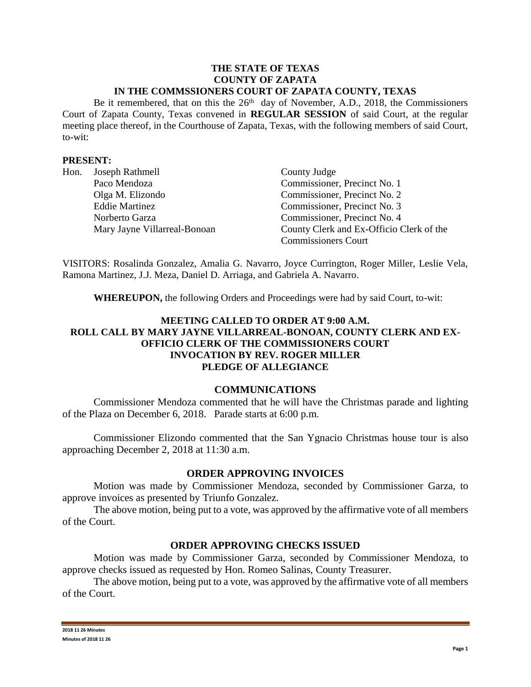#### **THE STATE OF TEXAS COUNTY OF ZAPATA IN THE COMMSSIONERS COURT OF ZAPATA COUNTY, TEXAS**

Be it remembered, that on this the  $26<sup>th</sup>$  day of November, A.D., 2018, the Commissioners Court of Zapata County, Texas convened in **REGULAR SESSION** of said Court, at the regular meeting place thereof, in the Courthouse of Zapata, Texas, with the following members of said Court, to-wit:

### **PRESENT:**

| Hon. | Joseph Rathmell              | County Judge                             |
|------|------------------------------|------------------------------------------|
|      | Paco Mendoza                 | Commissioner, Precinct No. 1             |
|      | Olga M. Elizondo             | Commissioner, Precinct No. 2             |
|      | <b>Eddie Martinez</b>        | Commissioner, Precinct No. 3             |
|      | Norberto Garza               | Commissioner, Precinct No. 4             |
|      | Mary Jayne Villarreal-Bonoan | County Clerk and Ex-Officio Clerk of the |
|      |                              | <b>Commissioners Court</b>               |

VISITORS: Rosalinda Gonzalez, Amalia G. Navarro, Joyce Currington, Roger Miller, Leslie Vela, Ramona Martinez, J.J. Meza, Daniel D. Arriaga, and Gabriela A. Navarro.

**WHEREUPON,** the following Orders and Proceedings were had by said Court, to-wit:

# **MEETING CALLED TO ORDER AT 9:00 A.M. ROLL CALL BY MARY JAYNE VILLARREAL-BONOAN, COUNTY CLERK AND EX-OFFICIO CLERK OF THE COMMISSIONERS COURT INVOCATION BY REV. ROGER MILLER PLEDGE OF ALLEGIANCE**

#### **COMMUNICATIONS**

Commissioner Mendoza commented that he will have the Christmas parade and lighting of the Plaza on December 6, 2018. Parade starts at 6:00 p.m.

Commissioner Elizondo commented that the San Ygnacio Christmas house tour is also approaching December 2, 2018 at 11:30 a.m.

#### **ORDER APPROVING INVOICES**

Motion was made by Commissioner Mendoza, seconded by Commissioner Garza, to approve invoices as presented by Triunfo Gonzalez.

The above motion, being put to a vote, was approved by the affirmative vote of all members of the Court.

## **ORDER APPROVING CHECKS ISSUED**

Motion was made by Commissioner Garza, seconded by Commissioner Mendoza, to approve checks issued as requested by Hon. Romeo Salinas, County Treasurer.

The above motion, being put to a vote, was approved by the affirmative vote of all members of the Court.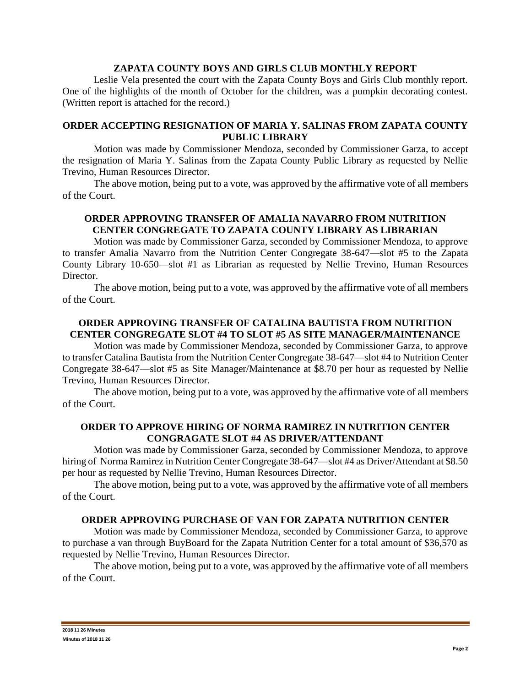### **ZAPATA COUNTY BOYS AND GIRLS CLUB MONTHLY REPORT**

Leslie Vela presented the court with the Zapata County Boys and Girls Club monthly report. One of the highlights of the month of October for the children, was a pumpkin decorating contest. (Written report is attached for the record.)

## **ORDER ACCEPTING RESIGNATION OF MARIA Y. SALINAS FROM ZAPATA COUNTY PUBLIC LIBRARY**

Motion was made by Commissioner Mendoza, seconded by Commissioner Garza, to accept the resignation of Maria Y. Salinas from the Zapata County Public Library as requested by Nellie Trevino, Human Resources Director.

The above motion, being put to a vote, was approved by the affirmative vote of all members of the Court.

# **ORDER APPROVING TRANSFER OF AMALIA NAVARRO FROM NUTRITION CENTER CONGREGATE TO ZAPATA COUNTY LIBRARY AS LIBRARIAN**

Motion was made by Commissioner Garza, seconded by Commissioner Mendoza, to approve to transfer Amalia Navarro from the Nutrition Center Congregate 38-647—slot #5 to the Zapata County Library 10-650—slot #1 as Librarian as requested by Nellie Trevino, Human Resources Director.

The above motion, being put to a vote, was approved by the affirmative vote of all members of the Court.

## **ORDER APPROVING TRANSFER OF CATALINA BAUTISTA FROM NUTRITION CENTER CONGREGATE SLOT #4 TO SLOT #5 AS SITE MANAGER/MAINTENANCE**

Motion was made by Commissioner Mendoza, seconded by Commissioner Garza, to approve to transfer Catalina Bautista from the Nutrition Center Congregate 38-647—slot #4 to Nutrition Center Congregate 38-647—slot #5 as Site Manager/Maintenance at \$8.70 per hour as requested by Nellie Trevino, Human Resources Director.

The above motion, being put to a vote, was approved by the affirmative vote of all members of the Court.

## **ORDER TO APPROVE HIRING OF NORMA RAMIREZ IN NUTRITION CENTER CONGRAGATE SLOT #4 AS DRIVER/ATTENDANT**

Motion was made by Commissioner Garza, seconded by Commissioner Mendoza, to approve hiring of Norma Ramirez in Nutrition Center Congregate 38-647—slot #4 as Driver/Attendant at \$8.50 per hour as requested by Nellie Trevino, Human Resources Director.

The above motion, being put to a vote, was approved by the affirmative vote of all members of the Court.

## **ORDER APPROVING PURCHASE OF VAN FOR ZAPATA NUTRITION CENTER**

Motion was made by Commissioner Mendoza, seconded by Commissioner Garza, to approve to purchase a van through BuyBoard for the Zapata Nutrition Center for a total amount of \$36,570 as requested by Nellie Trevino, Human Resources Director.

The above motion, being put to a vote, was approved by the affirmative vote of all members of the Court.